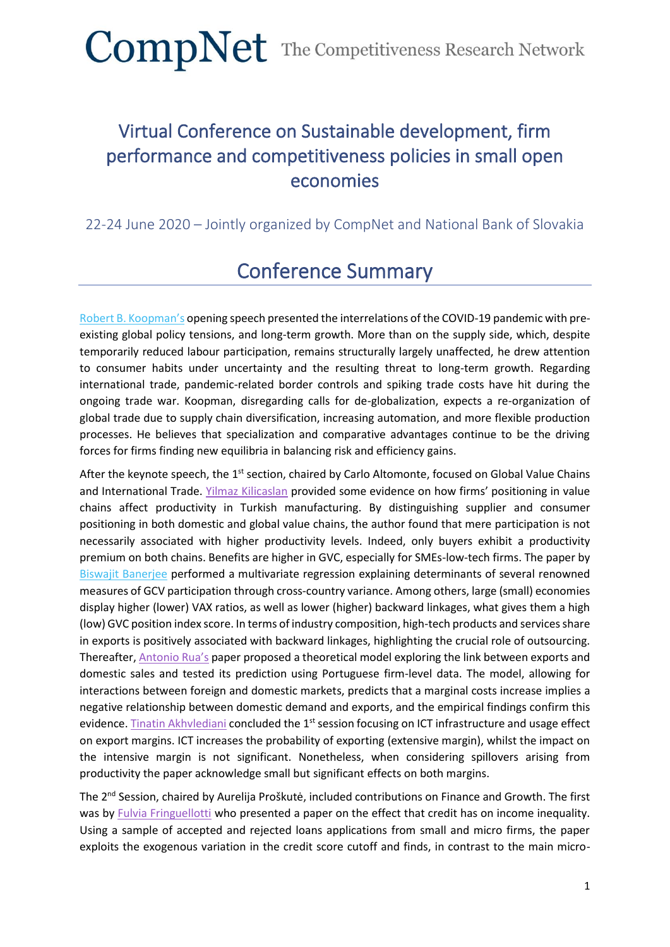### Virtual Conference on Sustainable development, firm performance and competitiveness policies in small open economies

#### 22-24 June 2020 – Jointly organized by CompNet and National Bank of Slovakia

### Conference Summary

[Robert B. Koopman's](https://www.comp-net.org/fileadmin/_compnet/user_upload/Documents/Bratislava_Conference/Keynote_presentation.pdf) opening speech presented the interrelations of the COVID-19 pandemic with preexisting global policy tensions, and long-term growth. More than on the supply side, which, despite temporarily reduced labour participation, remains structurally largely unaffected, he drew attention to consumer habits under uncertainty and the resulting threat to long-term growth. Regarding international trade, pandemic-related border controls and spiking trade costs have hit during the ongoing trade war. Koopman, disregarding calls for de-globalization, expects a re-organization of global trade due to supply chain diversification, increasing automation, and more flexible production processes. He believes that specialization and comparative advantages continue to be the driving forces for firms finding new equilibria in balancing risk and efficiency gains.

After the keynote speech, the 1<sup>st</sup> section, chaired by Carlo Altomonte, focused on Global Value Chains and International Trade. [Yilmaz Kilicaslan](https://www.comp-net.org/fileadmin/_compnet/user_upload/Documents/Bratislava_Conference/Yilmaz_-_Value_Chain_Integration.pdf) provided some evidence on how firms' positioning in value chains affect productivity in Turkish manufacturing. By distinguishing supplier and consumer positioning in both domestic and global value chains, the author found that mere participation is not necessarily associated with higher productivity levels. Indeed, only buyers exhibit a productivity premium on both chains. Benefits are higher in GVC, especially for SMEs-low-tech firms. The paper by [Biswajit Banerjee](https://www.comp-net.org/fileadmin/_compnet/user_upload/Documents/Bratislava_Conference/Biswajit_Banerjee_-_Determinants_of_GVC.pdf) performed a multivariate regression explaining determinants of several renowned measures of GCV participation through cross-country variance. Among others, large (small) economies display higher (lower) VAX ratios, as well as lower (higher) backward linkages, what gives them a high (low) GVC position index score. In terms of industry composition, high-tech products and services share in exports is positively associated with backward linkages, highlighting the crucial role of outsourcing. Thereafter, [Antonio Rua's](https://www.comp-net.org/fileadmin/_compnet/user_upload/Documents/Bratislava_Conference/Antonio_Rua_-_Does_domestic_demand_matter.pdf) paper proposed a theoretical model exploring the link between exports and domestic sales and tested its prediction using Portuguese firm-level data. The model, allowing for interactions between foreign and domestic markets, predicts that a marginal costs increase implies a negative relationship between domestic demand and exports, and the empirical findings confirm this evidence. [Tinatin Akhvlediani](https://www.comp-net.org/fileadmin/_compnet/user_upload/Documents/Bratislava_Conference/Slides_Sess_3_-_Towards_a_new_growth_model_in_CESEE_convergence_and_competitiveness_through_smart__green_and_inclusive_investment.pdf) concluded the 1<sup>st</sup> session focusing on ICT infrastructure and usage effect on export margins. ICT increases the probability of exporting (extensive margin), whilst the impact on the intensive margin is not significant. Nonetheless, when considering spillovers arising from productivity the paper acknowledge small but significant effects on both margins.

The 2<sup>nd</sup> Session, chaired by Aurelija Proškutė, included contributions on Finance and Growth. The first was by [Fulvia Fringuellotti](https://www.comp-net.org/fileadmin/_compnet/user_upload/Documents/Bratislava_Conference/Slides_Sess_2_-_Credit_and_Income_Inequality.pdf) who presented a paper on the effect that credit has on income inequality. Using a sample of accepted and rejected loans applications from small and micro firms, the paper exploits the exogenous variation in the credit score cutoff and finds, in contrast to the main micro-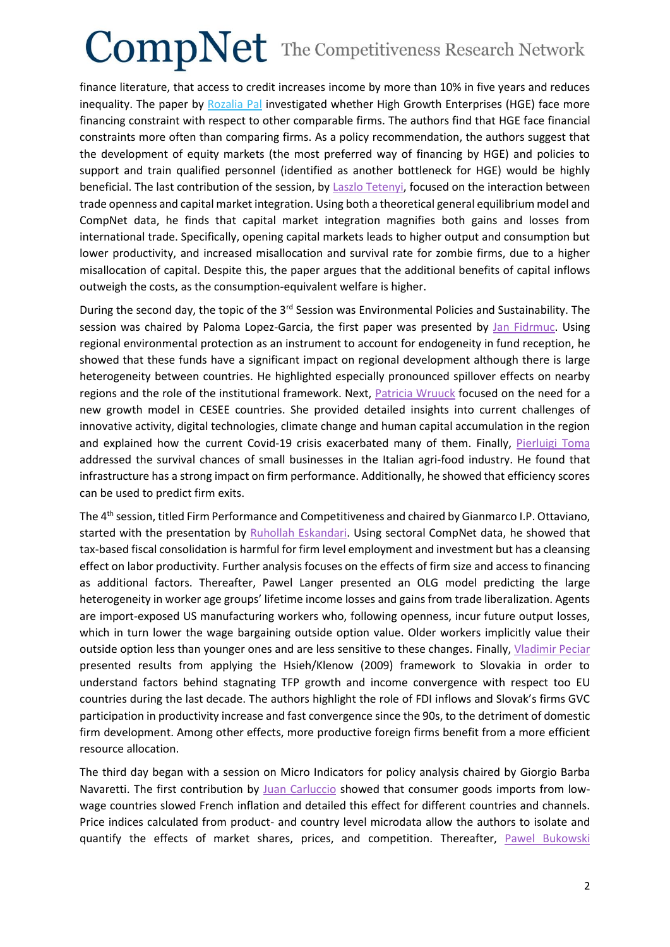# $CompNet$  The Competitiveness Research Network

finance literature, that access to credit increases income by more than 10% in five years and reduces inequality. The paper by [Rozalia Pal](https://www.comp-net.org/fileadmin/_compnet/user_upload/Documents/Bratislava_Conference/Slides_Sess_2_-_Finance_and_obstacles_of_high_growth_enterprises.pdf) investigated whether High Growth Enterprises (HGE) face more financing constraint with respect to other comparable firms. The authors find that HGE face financial constraints more often than comparing firms. As a policy recommendation, the authors suggest that the development of equity markets (the most preferred way of financing by HGE) and policies to support and train qualified personnel (identified as another bottleneck for HGE) would be highly beneficial. The last contribution of the session, by [Laszlo Tetenyi,](https://www.comp-net.org/fileadmin/_compnet/user_upload/Documents/Bratislava_Conference/Slides_Sess_2_-_Trade__Misallocation_and_Capital_Market_Integration.pdf) focused on the interaction between trade openness and capital market integration. Using both a theoretical general equilibrium model and CompNet data, he finds that capital market integration magnifies both gains and losses from international trade. Specifically, opening capital markets leads to higher output and consumption but lower productivity, and increased misallocation and survival rate for zombie firms, due to a higher misallocation of capital. Despite this, the paper argues that the additional benefits of capital inflows outweigh the costs, as the consumption-equivalent welfare is higher.

During the second day, the topic of the 3<sup>rd</sup> Session was Environmental Policies and Sustainability. The session was chaired by Paloma Lopez-Garcia, the first paper was presented by [Jan Fidrmuc.](https://www.comp-net.org/fileadmin/_compnet/user_upload/Documents/Bratislava_Conference/Jan_Fidrmuc_-_the_elusive_quest.pdf) Using regional environmental protection as an instrument to account for endogeneity in fund reception, he showed that these funds have a significant impact on regional development although there is large heterogeneity between countries. He highlighted especially pronounced spillover effects on nearby regions and the role of the institutional framework. Next, [Patricia Wruuck](https://www.comp-net.org/fileadmin/_compnet/user_upload/Documents/Bratislava_Conference/Patricia_Wruuck_-_Towards_a_new_growth.pdf) focused on the need for a new growth model in CESEE countries. She provided detailed insights into current challenges of innovative activity, digital technologies, climate change and human capital accumulation in the region and explained how the current Covid-19 crisis exacerbated many of them. Finally, [Pierluigi Toma](https://www.comp-net.org/fileadmin/_compnet/user_upload/Documents/Bratislava_Conference/Slides_Sess_3_-_Are_efficiency_measures_predictive_of_firm_crisis_Evidence_from_the_Italian_agri-food_industry.pdf) addressed the survival chances of small businesses in the Italian agri-food industry. He found that infrastructure has a strong impact on firm performance. Additionally, he showed that efficiency scores can be used to predict firm exits.

The 4th session, titled Firm Performance and Competitiveness and chaired by Gianmarco I.P. Ottaviano, started with the presentation by [Ruhollah Eskandari.](https://www.comp-net.org/fileadmin/_compnet/user_upload/Documents/Bratislava_Conference/Slides_Sess_4_-_Fiscal_Consolidation_and_the_Labor_Market_in_Europe_Firm_Level_Theory_and_Evidence.pdf) Using sectoral CompNet data, he showed that tax-based fiscal consolidation is harmful for firm level employment and investment but has a cleansing effect on labor productivity. Further analysis focuses on the effects of firm size and access to financing as additional factors. Thereafter, Pawel Langer presented an OLG model predicting the large heterogeneity in worker age groups' lifetime income losses and gains from trade liberalization. Agents are import-exposed US manufacturing workers who, following openness, incur future output losses, which in turn lower the wage bargaining outside option value. Older workers implicitly value their outside option less than younger ones and are less sensitive to these changes. Finally, [Vladimir Peciar](https://www.comp-net.org/fileadmin/_compnet/user_upload/Documents/Bratislava_Conference/Slides_Sess_4_-_The_Productivity_Gap_Determinants_of_Productivity_and_Misallocation_among_foreign_and_domestic_firm_in_Slovakia.pdf) presented results from applying the Hsieh/Klenow (2009) framework to Slovakia in order to understand factors behind stagnating TFP growth and income convergence with respect too EU countries during the last decade. The authors highlight the role of FDI inflows and Slovak's firms GVC participation in productivity increase and fast convergence since the 90s, to the detriment of domestic firm development. Among other effects, more productive foreign firms benefit from a more efficient resource allocation.

The third day began with a session on Micro Indicators for policy analysis chaired by Giorgio Barba Navaretti. The first contribution by [Juan Carluccio](https://www.comp-net.org/fileadmin/_compnet/user_upload/Documents/Bratislava_Conference/Juan_Carluccio_-_Dissecting_the_impact.pdf) showed that consumer goods imports from lowwage countries slowed French inflation and detailed this effect for different countries and channels. Price indices calculated from product- and country level microdata allow the authors to isolate and quantify the effects of market shares, prices, and competition. Thereafter, [Pawel Bukowski](https://www.comp-net.org/fileadmin/_compnet/user_upload/Documents/Bratislava_Conference/Pawel_Bukowsky_-_Rent_Sharing.pdf)